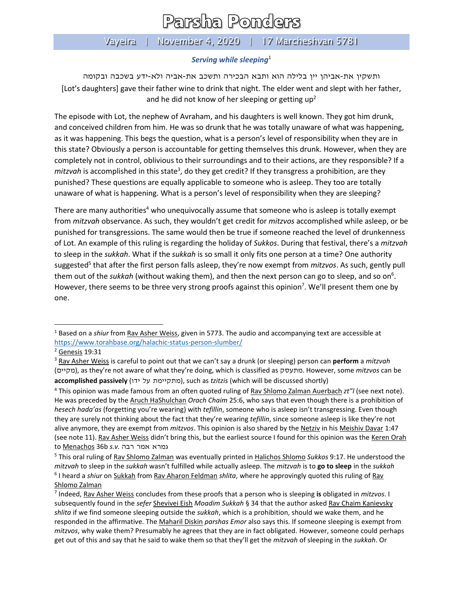## Parsha Ponders

## Vayeira | November 4, 2020 | 17 Marcheshvan 5781

## *Serving while sleeping*<sup>1</sup>

ותשקין את-אביהן יין בלילה הוא ותבא הבכירה ותשכב את-אביה ולא-ידע בשכבה ובקומה [Lot's daughters] gave their father wine to drink that night. The elder went and slept with her father, and he did not know of her sleeping or getting  $up<sup>2</sup>$ 

The episode with Lot, the nephew of Avraham, and his daughters is well known. They got him drunk, and conceived children from him. He was so drunk that he was totally unaware of what was happening, as it was happening. This begs the question, what is a person's level of responsibility when they are in this state? Obviously a person is accountable for getting themselves this drunk. However, when they are completely not in control, oblivious to their surroundings and to their actions, are they responsible? If a mitzvah is accomplished in this state<sup>3</sup>, do they get credit? If they transgress a prohibition, are they punished? These questions are equally applicable to someone who is asleep. They too are totally unaware of what is happening. What is a person's level of responsibility when they are sleeping?

There are many authorities<sup>4</sup> who unequivocally assume that someone who is asleep is totally exempt from *mitzvah* observance. As such, they wouldn't get credit for *mitzvos* accomplished while asleep, or be punished for transgressions. The same would then be true if someone reached the level of drunkenness of Lot. An example of this ruling is regarding the holiday of *Sukkos*. During that festival, there's a *mitzvah* to sleep in the *sukkah*. What if the *sukkah* is so small it only fits one person at a time? One authority suggested 5 that after the first person falls asleep, they're now exempt from *mitzvos*. As such, gently pull them out of the *sukkah* (without waking them), and then the next person can go to sleep, and so on<sup>6</sup>. However, there seems to be three very strong proofs against this opinion<sup>7</sup>. We'll present them one by one.

<span id="page-0-0"></span><sup>1</sup> Based on a *shiur* from Rav Asher Weiss, given in 5773. The audio and accompanying text are accessible at <https://www.torahbase.org/halachic-status-person-slumber/>

<sup>2</sup> Genesis 19:31

<sup>3</sup> Rav Asher Weiss is careful to point out that we can't say a drunk (or sleeping) person can **perform** a *mitzvah* (מקיים(, as they're not aware of what they're doing, which is classified as מתעסק. However, some *mitzvos* can be accomplished passively (מתקיימת על ידו), such as *tzitzis* (which will be discussed shortly)

<sup>4</sup> This opinion was made famous from an often quoted ruling of Rav Shlomo Zalman Auerbach *zt"l* (see next note). He was preceded by the Aruch HaShulchan *Orach Chaim* 25:6, who says that even though there is a prohibition of *hesech hada'as* (forgetting you're wearing) with *tefillin*, someone who is asleep isn't transgressing. Even though they are surely not thinking about the fact that they're wearing *tefillin*, since someone asleep is like they're not alive anymore, they are exempt from *mitzvos*. This opinion is also shared by the Netziv in his Meishiv Davar 1:47 (see note [11\)](#page-1-0). Rav Asher Weiss didn't bring this, but the earliest source I found for this opinion was the Keren Orah to Menachos 36b *s.v.* רבה אמר גמרא

<sup>5</sup> This oral ruling of Rav Shlomo Zalman was eventually printed in Halichos Shlomo *Sukkos* 9:17. He understood the *mitzvah* to sleep in the *sukkah* wasn't fulfilled while actually asleep. The *mitzvah* is to **go to sleep** in the *sukkah* <sup>6</sup> I heard a *shiur* on Sukkah from Rav Aharon Feldman *shlita*, where he approvingly quoted this ruling of Rav Shlomo Zalman

<sup>7</sup> Indeed, Rav Asher Weiss concludes from these proofs that a person who is sleeping **is** obligated in *mitzvos*. I subsequently found in the *sefer* Shevivei Eish *Moadim Sukkah* § 34 that the author asked Rav Chaim Kanievsky *shlita* if we find someone sleeping outside the *sukkah*, which is a prohibition, should we wake them, and he responded in the affirmative. The Maharil Diskin *parshas Emor* also says this. If someone sleeping is exempt from *mitzvos*, why wake them? Presumably he agrees that they are in fact obligated. However, someone could perhaps get out of this and say that he said to wake them so that they'll get the *mitzvah* of sleeping in the *sukkah*. Or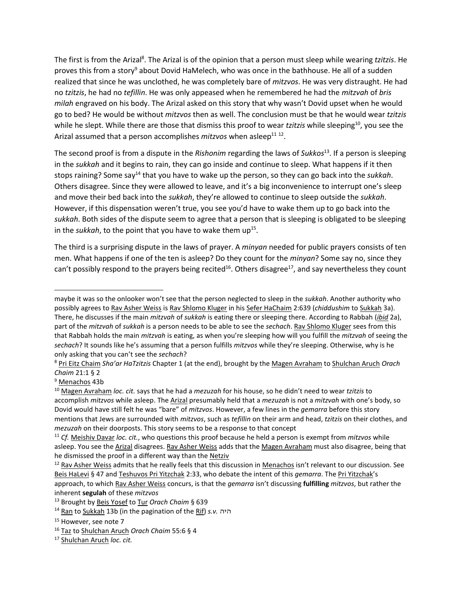The first is from the Arizal<sup>8</sup>. The Arizal is of the opinion that a person must sleep while wearing *tzitzis*. He proves this from a story<sup>9</sup> about Dovid HaMelech, who was once in the bathhouse. He all of a sudden realized that since he was unclothed, he was completely bare of *mitzvos*. He was very distraught. He had no *tzitzis*, he had no *tefillin*. He was only appeased when he remembered he had the *mitzvah* of *bris milah* engraved on his body. The Arizal asked on this story that why wasn't Dovid upset when he would go to bed? He would be without *mitzvos* then as well. The conclusion must be that he would wear *tzitzis* while he slept. While there are those that dismiss this proof to wear *tzitzis* while sleeping<sup>10</sup>, you see the Arizal assumed that a person accomplishes *mitzvos* when asleep<sup>11 12</sup>.

<span id="page-1-0"></span>The second proof is from a dispute in the *Rishonim* regarding the laws of *Sukkos*<sup>13</sup>. If a person is sleeping in the *sukkah* and it begins to rain, they can go inside and continue to sleep. What happens if it then stops raining? Some say<sup>14</sup> that you have to wake up the person, so they can go back into the *sukkah*. Others disagree. Since they were allowed to leave, and it's a big inconvenience to interrupt one's sleep and move their bed back into the *sukkah*, they're allowed to continue to sleep outside the *sukkah*. However, if this dispensation weren't true, you see you'd have to wake them up to go back into the *sukkah*. Both sides of the dispute seem to agree that a person that is sleeping is obligated to be sleeping in the *sukkah*, to the point that you have to wake them up<sup>15</sup>.

The third is a surprising dispute in the laws of prayer. A *minyan* needed for public prayers consists of ten men. What happens if one of the ten is asleep? Do they count for the *minyan*? Some say no, since they can't possibly respond to the prayers being recited<sup>16</sup>. Others disagree<sup>17</sup>, and say nevertheless they count

maybe it was so the onlooker won't see that the person neglected to sleep in the *sukkah*. Another authority who possibly agrees to Rav Asher Weiss is Rav Shlomo Kluger in his Sefer HaChaim 2:639 (*chiddushim* to Sukkah 3a). There, he discusses if the main *mitzvah* of *sukkah* is eating there or sleeping there. According to Rabbah (*ibid* 2a), part of the *mitzvah* of *sukkah* is a person needs to be able to see the *sechach*. Rav Shlomo Kluger sees from this that Rabbah holds the main *mitzvah* is eating, as when you're sleeping how will you fulfill the *mitzvah* of seeing the *sechach*? It sounds like he's assuming that a person fulfills *mitzvos* while they're sleeping. Otherwise, why is he only asking that you can't see the *sechach*?

<sup>8</sup> Pri Eitz Chaim *Sha'ar HaTzitzis* Chapter 1 (at the end), brought by the Magen Avraham to Shulchan Aruch *Orach Chaim* 21:1 § 2

<sup>9</sup> Menachos 43b

<sup>10</sup> Magen Avraham *loc. cit.* says that he had a *mezuzah* for his house, so he didn't need to wear *tzitzis* to accomplish *mitzvos* while asleep. The Arizal presumably held that a *mezuzah* is not a *mitzvah* with one's body, so Dovid would have still felt he was "bare" of *mitzvos*. However, a few lines in the *gemarra* before this story mentions that Jews are surrounded with *mitzvos*, such as *tefillin* on their arm and head, *tzitzis* on their clothes, and *mezuzah* on their doorposts. This story seems to be a response to that concept

<sup>11</sup> *Cf.* Meishiv Davar *loc. cit.*, who questions this proof because he held a person is exempt from *mitzvos* while asleep. You see the Arizal disagrees. Rav Asher Weiss adds that the Magen Avraham must also disagree, being that he dismissed the proof in a different way than the Netziv

 $12$  Rav Asher Weiss admits that he really feels that this discussion in Menachos isn't relevant to our discussion. See Beis HaLevi § 47 and Teshuvos Pri Yitzchak 2:33, who debate the intent of this *gemarra*. The Pri Yitzchak's approach, to which Rav Asher Weiss concurs, is that the *gemarra* isn't discussing **fulfilling** *mitzvos*, but rather the inherent **segulah** of these *mitzvos*

<sup>13</sup> Brought by Beis Yosef to Tur *Orach Chaim* § 639

<sup>14</sup> Ran to Sukkah 13b (in the pagination of the Rif) *s.v.* היה

<sup>&</sup>lt;sup>15</sup> However, see note [7](#page-0-0)

<sup>16</sup> Taz to Shulchan Aruch *Orach Chaim* 55:6 § 4

<sup>17</sup> Shulchan Aruch *loc. cit.*